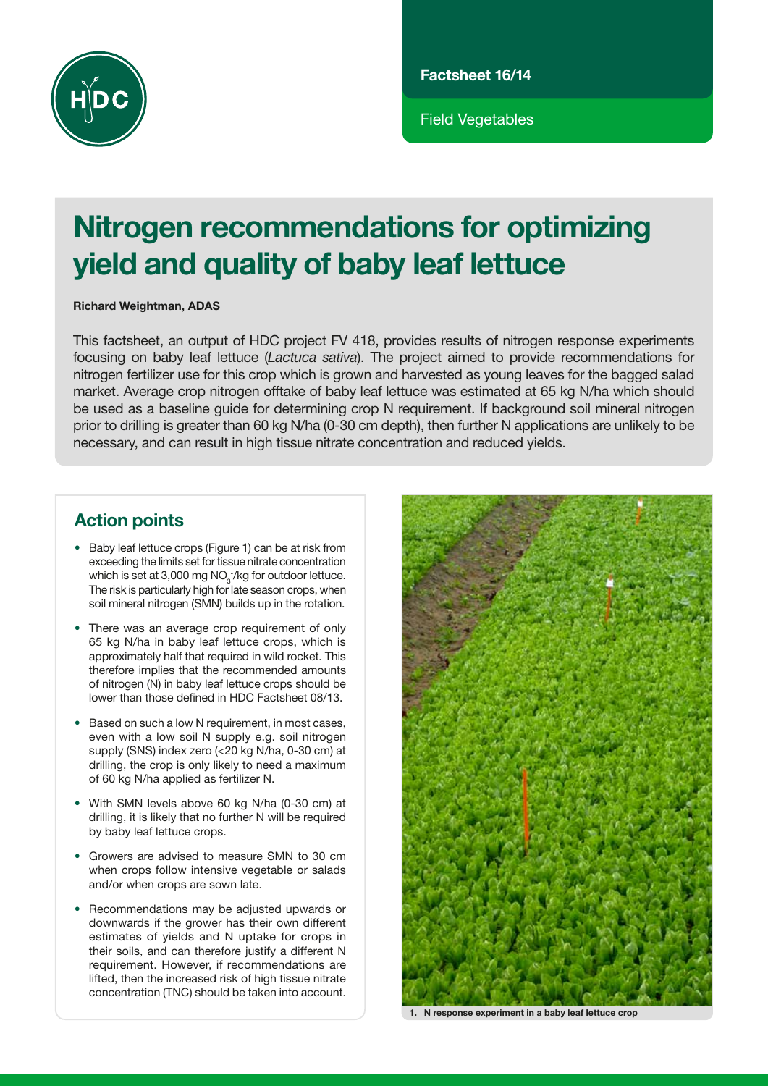

Field Vegetables

# Nitrogen recommendations for optimizing yield and quality of baby leaf lettuce

Richard Weightman, ADAS

This factsheet, an output of HDC project FV 418, provides results of nitrogen response experiments focusing on baby leaf lettuce (*Lactuca sativa*). The project aimed to provide recommendations for nitrogen fertilizer use for this crop which is grown and harvested as young leaves for the bagged salad market. Average crop nitrogen offtake of baby leaf lettuce was estimated at 65 kg N/ha which should be used as a baseline guide for determining crop N requirement. If background soil mineral nitrogen prior to drilling is greater than 60 kg N/ha (0-30 cm depth), then further N applications are unlikely to be necessary, and can result in high tissue nitrate concentration and reduced yields.

# Action points

- Baby leaf lettuce crops (Figure 1) can be at risk from exceeding the limits set for tissue nitrate concentration which is set at 3,000 mg  $NO<sub>3</sub>$ /kg for outdoor lettuce. The risk is particularly high for late season crops, when soil mineral nitrogen (SMN) builds up in the rotation.
- There was an average crop requirement of only 65 kg N/ha in baby leaf lettuce crops, which is approximately half that required in wild rocket. This therefore implies that the recommended amounts of nitrogen (N) in baby leaf lettuce crops should be lower than those defined in HDC Factsheet 08/13.
- Based on such a low N requirement, in most cases, even with a low soil N supply e.g. soil nitrogen supply (SNS) index zero (<20 kg N/ha, 0-30 cm) at drilling, the crop is only likely to need a maximum of 60 kg N/ha applied as fertilizer N.
- With SMN levels above 60 kg N/ha (0-30 cm) at drilling, it is likely that no further N will be required by baby leaf lettuce crops.
- Growers are advised to measure SMN to 30 cm when crops follow intensive vegetable or salads and/or when crops are sown late.
- Recommendations may be adjusted upwards or downwards if the grower has their own different estimates of yields and N uptake for crops in their soils, and can therefore justify a different N requirement. However, if recommendations are lifted, then the increased risk of high tissue nitrate concentration (TNC) should be taken into account.



1. N response experiment in a baby leaf lettuce crop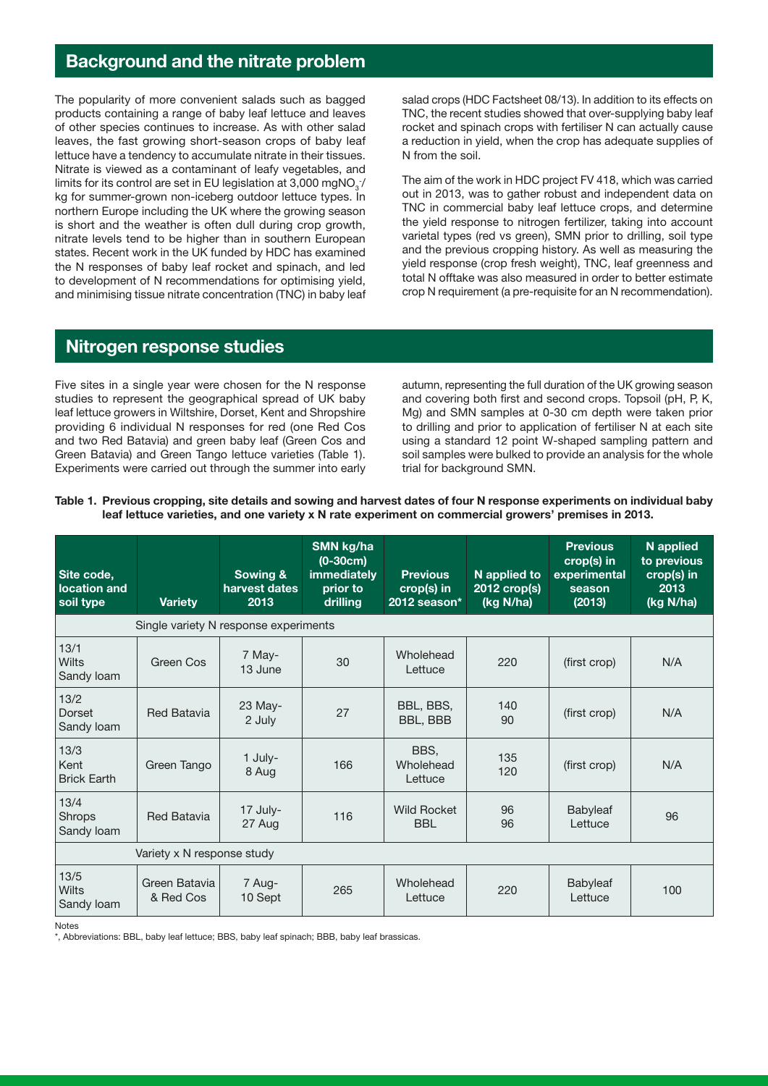# Background and the nitrate problem

The popularity of more convenient salads such as bagged products containing a range of baby leaf lettuce and leaves of other species continues to increase. As with other salad leaves, the fast growing short-season crops of baby leaf lettuce have a tendency to accumulate nitrate in their tissues. Nitrate is viewed as a contaminant of leafy vegetables, and limits for its control are set in EU legislation at 3,000 mgNO $_{\tiny 3}$ <sup>-</sup>/ kg for summer-grown non-iceberg outdoor lettuce types. In northern Europe including the UK where the growing season is short and the weather is often dull during crop growth, nitrate levels tend to be higher than in southern European states. Recent work in the UK funded by HDC has examined the N responses of baby leaf rocket and spinach, and led to development of N recommendations for optimising yield, and minimising tissue nitrate concentration (TNC) in baby leaf salad crops (HDC Factsheet 08/13). In addition to its effects on TNC, the recent studies showed that over-supplying baby leaf rocket and spinach crops with fertiliser N can actually cause a reduction in yield, when the crop has adequate supplies of N from the soil.

The aim of the work in HDC project FV 418, which was carried out in 2013, was to gather robust and independent data on TNC in commercial baby leaf lettuce crops, and determine the yield response to nitrogen fertilizer, taking into account varietal types (red vs green), SMN prior to drilling, soil type and the previous cropping history. As well as measuring the yield response (crop fresh weight), TNC, leaf greenness and total N offtake was also measured in order to better estimate crop N requirement (a pre-requisite for an N recommendation).

#### Nitrogen response studies

Five sites in a single year were chosen for the N response studies to represent the geographical spread of UK baby leaf lettuce growers in Wiltshire, Dorset, Kent and Shropshire providing 6 individual N responses for red (one Red Cos and two Red Batavia) and green baby leaf (Green Cos and Green Batavia) and Green Tango lettuce varieties (Table 1). Experiments were carried out through the summer into early autumn, representing the full duration of the UK growing season and covering both first and second crops. Topsoil (pH, P, K, Mg) and SMN samples at 0-30 cm depth were taken prior to drilling and prior to application of fertiliser N at each site using a standard 12 point W-shaped sampling pattern and soil samples were bulked to provide an analysis for the whole trial for background SMN.

| Table 1. Previous cropping, site details and sowing and harvest dates of four N response experiments on individual baby |
|-------------------------------------------------------------------------------------------------------------------------|
| leaf lettuce varieties, and one variety x N rate experiment on commercial growers' premises in 2013.                    |

| Site code,<br>location and<br>soil type | <b>Variety</b>             | Sowing &<br>harvest dates<br>2013 | SMN kg/ha<br>$(0-30cm)$<br><b>immediately</b><br>prior to<br>drilling | <b>Previous</b><br>$crop(s)$ in<br>2012 season* | N applied to<br>2012 crop(s)<br>(kg N/ha) | <b>Previous</b><br>$crop(s)$ in<br>experimental<br>season<br>(2013) | N applied<br>to previous<br>crop(s) in<br>2013<br>(kg N/ha) |  |  |  |  |  |
|-----------------------------------------|----------------------------|-----------------------------------|-----------------------------------------------------------------------|-------------------------------------------------|-------------------------------------------|---------------------------------------------------------------------|-------------------------------------------------------------|--|--|--|--|--|
| Single variety N response experiments   |                            |                                   |                                                                       |                                                 |                                           |                                                                     |                                                             |  |  |  |  |  |
| 13/1<br>Wilts<br>Sandy loam             | Green Cos                  | 7 May-<br>13 June                 | 30                                                                    | Wholehead<br>Lettuce                            | 220                                       | (first crop)                                                        | N/A                                                         |  |  |  |  |  |
| 13/2<br><b>Dorset</b><br>Sandy loam     | <b>Red Batavia</b>         | 23 May-<br>2 July                 | 27                                                                    | BBL, BBS,<br>BBL, BBB                           | 140<br>90                                 | (first crop)                                                        | N/A                                                         |  |  |  |  |  |
| 13/3<br>Kent<br><b>Brick Earth</b>      | Green Tango                | 1 July-<br>8 Aug                  | 166                                                                   | BBS.<br>Wholehead<br>Lettuce                    | 135<br>120                                | (first crop)                                                        | N/A                                                         |  |  |  |  |  |
| 13/4<br>Shrops<br>Sandy loam            | <b>Red Batavia</b>         | 17 July-<br>27 Aug                | 116                                                                   | Wild Rocket<br><b>BBL</b>                       | 96<br>96                                  | Babyleaf<br>Lettuce                                                 | 96                                                          |  |  |  |  |  |
| Variety x N response study              |                            |                                   |                                                                       |                                                 |                                           |                                                                     |                                                             |  |  |  |  |  |
| 13/5<br>Wilts<br>Sandy loam             | Green Batavia<br>& Red Cos | 7 Aug-<br>10 Sept                 | 265                                                                   | Wholehead<br>Lettuce                            | 220                                       | Babyleaf<br>Lettuce                                                 | 100                                                         |  |  |  |  |  |

Notes

\*, Abbreviations: BBL, baby leaf lettuce; BBS, baby leaf spinach; BBB, baby leaf brassicas.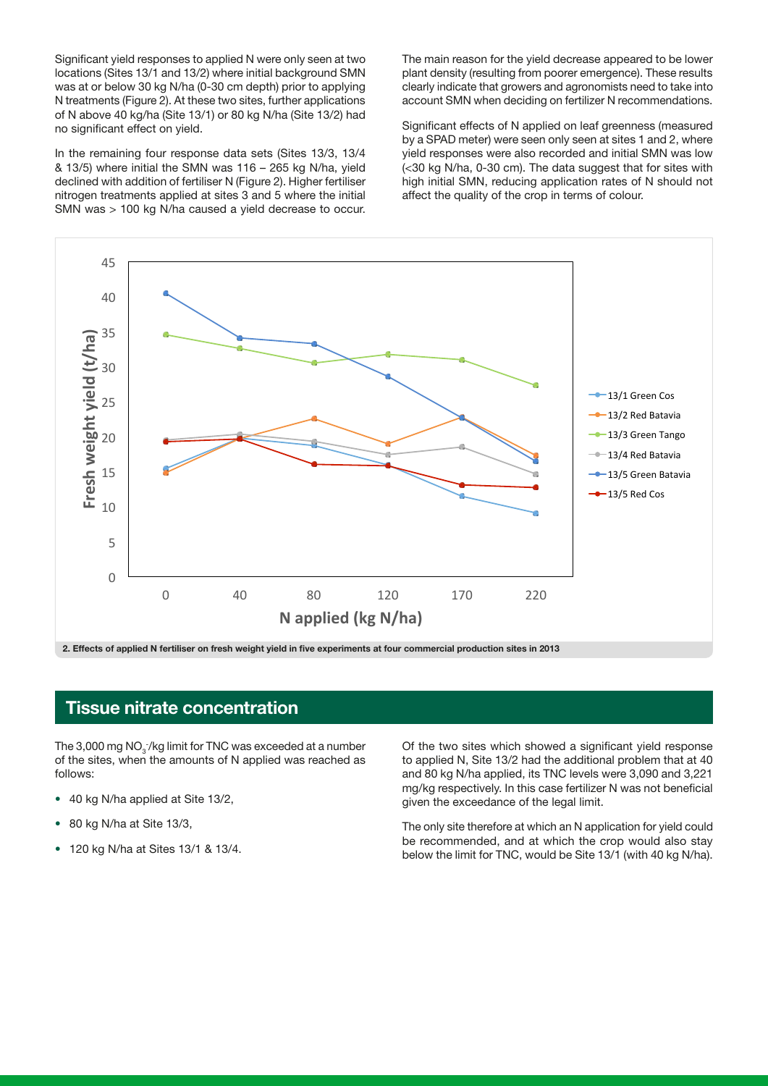Significant yield responses to applied N were only seen at two locations (Sites 13/1 and 13/2) where initial background SMN was at or below 30 kg N/ha (0-30 cm depth) prior to applying N treatments (Figure 2). At these two sites, further applications of N above 40 kg/ha (Site 13/1) or 80 kg N/ha (Site 13/2) had no significant effect on yield.

In the remaining four response data sets (Sites 13/3, 13/4 & 13/5) where initial the SMN was 116 – 265 kg N/ha, yield declined with addition of fertiliser N (Figure 2). Higher fertiliser nitrogen treatments applied at sites 3 and 5 where the initial SMN was > 100 kg N/ha caused a yield decrease to occur. The main reason for the yield decrease appeared to be lower plant density (resulting from poorer emergence). These results clearly indicate that growers and agronomists need to take into account SMN when deciding on fertilizer N recommendations.

Significant effects of N applied on leaf greenness (measured by a SPAD meter) were seen only seen at sites 1 and 2, where yield responses were also recorded and initial SMN was low (<30 kg N/ha, 0-30 cm). The data suggest that for sites with high initial SMN, reducing application rates of N should not affect the quality of the crop in terms of colour.



### Tissue nitrate concentration

The 3,000 mg NO $_{\tiny 3}^{\tiny\textsf{-7}}$ /kg limit for TNC was exceeded at a number of the sites, when the amounts of N applied was reached as follows:

- 40 kg N/ha applied at Site 13/2,
- 80 kg N/ha at Site 13/3,
- 120 kg N/ha at Sites 13/1 & 13/4.

Of the two sites which showed a significant yield response to applied N, Site 13/2 had the additional problem that at 40 and 80 kg N/ha applied, its TNC levels were 3,090 and 3,221 mg/kg respectively. In this case fertilizer N was not beneficial given the exceedance of the legal limit.

The only site therefore at which an N application for yield could be recommended, and at which the crop would also stay below the limit for TNC, would be Site 13/1 (with 40 kg N/ha).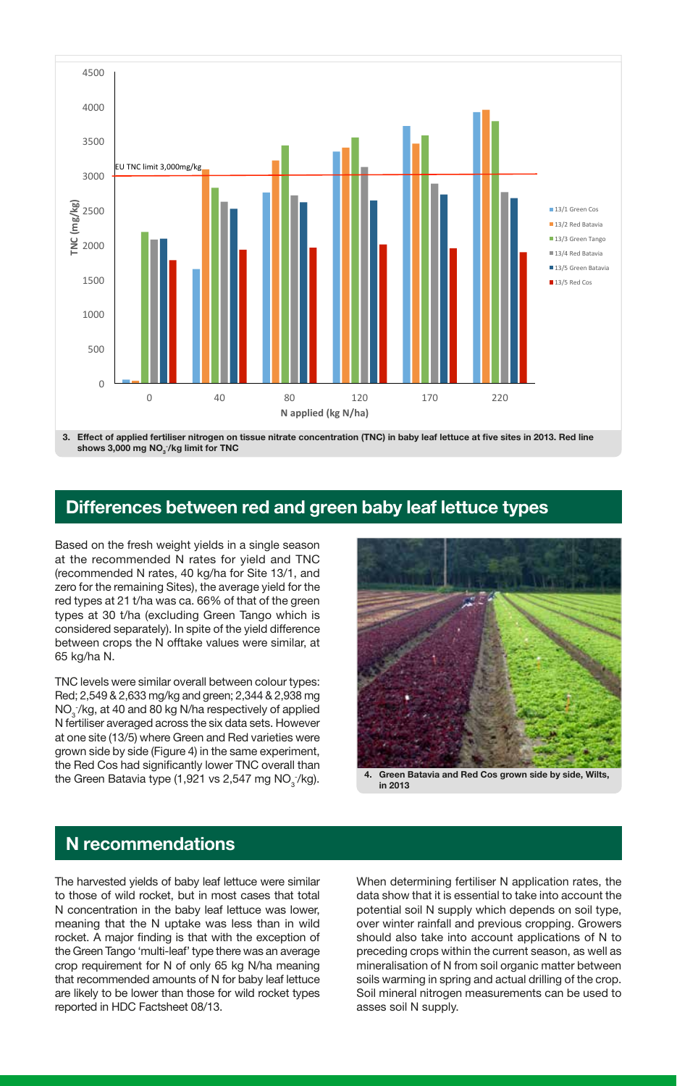

3. Effect of applied fertiliser nitrogen on tissue nitrate concentration (TNC) in baby leaf lettuce at five sites in 2013. Red line shows 3,000 mg  $NO_{3}^{-}/$ kg limit for TNC

### Differences between red and green baby leaf lettuce types

Based on the fresh weight yields in a single season at the recommended N rates for yield and TNC (recommended N rates, 40 kg/ha for Site 13/1, and zero for the remaining Sites), the average yield for the red types at 21 t/ha was ca. 66% of that of the green types at 30 t/ha (excluding Green Tango which is considered separately). In spite of the yield difference between crops the N offtake values were similar, at 65 kg/ha N.

TNC levels were similar overall between colour types: Red; 2,549 & 2,633 mg/kg and green; 2,344 & 2,938 mg  $\mathsf{NO}_3^-$ /kg, at 40 and 80 kg N/ha respectively of applied N fertiliser averaged across the six data sets. However at one site (13/5) where Green and Red varieties were grown side by side (Figure 4) in the same experiment, the Red Cos had significantly lower TNC overall than the Green Batavia type (1,921 vs 2,547 mg NO $_3^-$ 



in 2013

#### N recommendations

The harvested yields of baby leaf lettuce were similar to those of wild rocket, but in most cases that total N concentration in the baby leaf lettuce was lower, meaning that the N uptake was less than in wild rocket. A major finding is that with the exception of the Green Tango 'multi-leaf' type there was an average crop requirement for N of only 65 kg N/ha meaning that recommended amounts of N for baby leaf lettuce are likely to be lower than those for wild rocket types reported in HDC Factsheet 08/13.

When determining fertiliser N application rates, the data show that it is essential to take into account the potential soil N supply which depends on soil type, over winter rainfall and previous cropping. Growers should also take into account applications of N to preceding crops within the current season, as well as mineralisation of N from soil organic matter between soils warming in spring and actual drilling of the crop. Soil mineral nitrogen measurements can be used to asses soil N supply.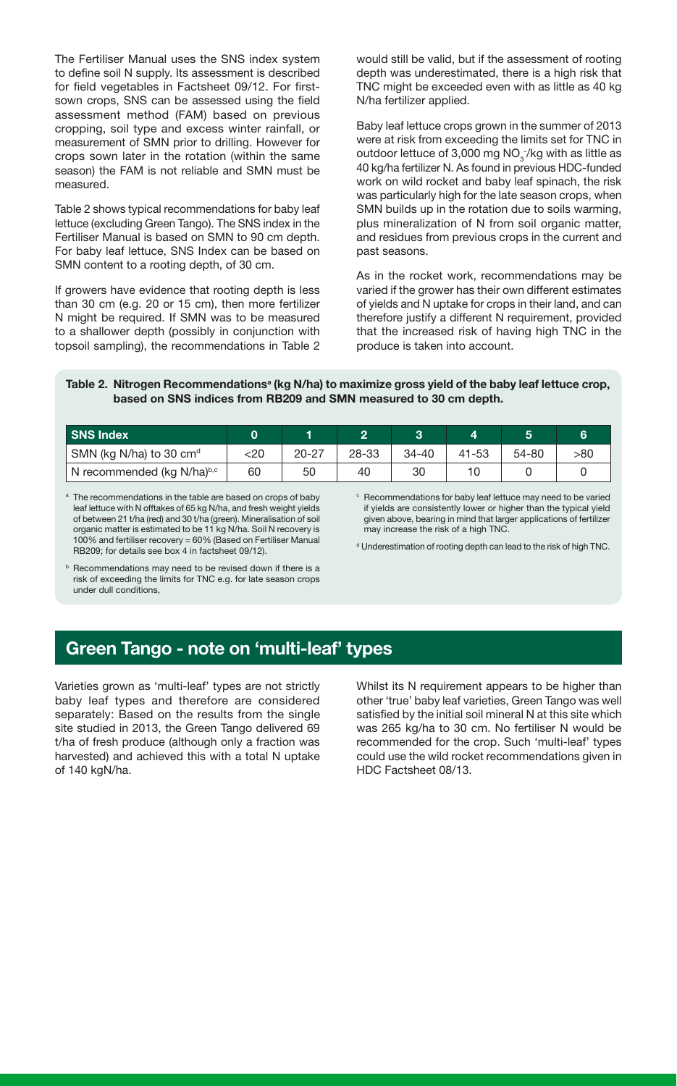The Fertiliser Manual uses the SNS index system to define soil N supply. Its assessment is described for field vegetables in Factsheet 09/12. For firstsown crops, SNS can be assessed using the field assessment method (FAM) based on previous cropping, soil type and excess winter rainfall, or measurement of SMN prior to drilling. However for crops sown later in the rotation (within the same season) the FAM is not reliable and SMN must be measured.

Table 2 shows typical recommendations for baby leaf lettuce (excluding Green Tango). The SNS index in the Fertiliser Manual is based on SMN to 90 cm depth. For baby leaf lettuce, SNS Index can be based on SMN content to a rooting depth, of 30 cm.

If growers have evidence that rooting depth is less than 30 cm (e.g. 20 or 15 cm), then more fertilizer N might be required. If SMN was to be measured to a shallower depth (possibly in conjunction with topsoil sampling), the recommendations in Table 2 would still be valid, but if the assessment of rooting depth was underestimated, there is a high risk that TNC might be exceeded even with as little as 40 kg N/ha fertilizer applied.

Baby leaf lettuce crops grown in the summer of 2013 were at risk from exceeding the limits set for TNC in outdoor lettuce of 3,000 mg  $NO_{3}^{-}/kg$  with as little as 40 kg/ha fertilizer N. As found in previous HDC-funded work on wild rocket and baby leaf spinach, the risk was particularly high for the late season crops, when SMN builds up in the rotation due to soils warming, plus mineralization of N from soil organic matter, and residues from previous crops in the current and past seasons.

As in the rocket work, recommendations may be varied if the grower has their own different estimates of yields and N uptake for crops in their land, and can therefore justify a different N requirement, provided that the increased risk of having high TNC in the produce is taken into account.

#### Table 2. Nitrogen Recommendations<sup>a</sup> (kg N/ha) to maximize gross yield of the baby leaf lettuce crop, based on SNS indices from RB209 and SMN measured to 30 cm depth.

| <b>SNS Index</b>                    |     |           |       |           |       |       |     |
|-------------------------------------|-----|-----------|-------|-----------|-------|-------|-----|
| SMN (kg N/ha) to 30 cm <sup>d</sup> | <20 | $20 - 27$ | 28-33 | $34 - 40$ | 41-53 | 54-80 | >80 |
| N recommended (kg N/ha)b,c          | 60  | 50        | 40    | 30        | 10    |       |     |

<sup>a</sup> The recommendations in the table are based on crops of baby leaf lettuce with N offtakes of 65 kg N/ha, and fresh weight yields of between 21 t/ha (red) and 30 t/ha (green). Mineralisation of soil organic matter is estimated to be 11 kg N/ha. Soil N recovery is 100% and fertiliser recovery = 60% (Based on Fertiliser Manual RB209; for details see box 4 in factsheet 09/12).

<sup>c</sup> Recommendations for baby leaf lettuce may need to be varied if yields are consistently lower or higher than the typical yield given above, bearing in mind that larger applications of fertilizer may increase the risk of a high TNC.

d Underestimation of rooting depth can lead to the risk of high TNC.

**b** Recommendations may need to be revised down if there is a risk of exceeding the limits for TNC e.g. for late season crops under dull conditions,

# Green Tango - note on 'multi-leaf' types

Varieties grown as 'multi-leaf' types are not strictly baby leaf types and therefore are considered separately: Based on the results from the single site studied in 2013, the Green Tango delivered 69 t/ha of fresh produce (although only a fraction was harvested) and achieved this with a total N uptake of 140 kgN/ha.

Whilst its N requirement appears to be higher than other 'true' baby leaf varieties, Green Tango was well satisfied by the initial soil mineral N at this site which was 265 kg/ha to 30 cm. No fertiliser N would be recommended for the crop. Such 'multi-leaf' types could use the wild rocket recommendations given in HDC Factsheet 08/13.